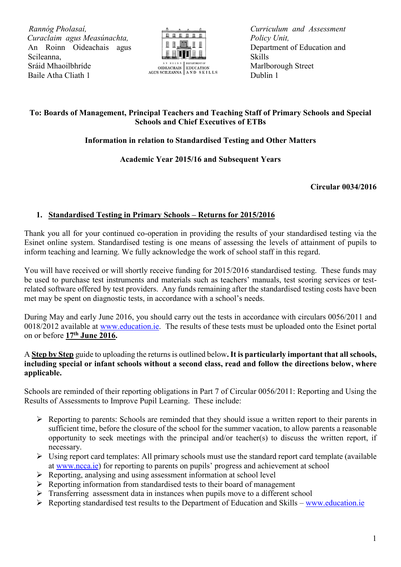*R Rannóg Pholasaí, C Curaclaim agus Measúnachta,* An Roinn Oideachais agus Scileanna, Sráid Mhaoilbhríde Baile Atha Cliath 1



*Curriculum and Assessment Policy Unit,* Department of Education and Skills Marlborough Street Dublin 1

# **To: Boards of Management, Principal Teachers and Teaching Staff of Primary Schools and Special Schools and Chief Executives of ETBs**

## **Information in relation to Standardised Testing and Other Matters**

### **Academic Year 2015/16 and Subsequent Years**

#### **Circular 0034/2016**

### **1. Standardised Testing in Primary Schools – Returns for 2015/2016**

Thank you all for your continued co-operation in providing the results of your standardised testing via the Esinet online system. Standardised testing is one means of assessing the levels of attainment of pupils to inform teaching and learning. We fully acknowledge the work of school staff in this regard.

You will have received or will shortly receive funding for 2015/2016 standardised testing. These funds may be used to purchase test instruments and materials such as teachers' manuals, test scoring services or testrelated software offered by test providers. Any funds remaining after the standardised testing costs have been met may be spent on diagnostic tests, in accordance with a school's needs.

During May and early June 2016, you should carry out the tests in accordance with circulars 0056/2011 and 0018/2012 available at [www.education.ie.](http://www.education.ie/) The results of these tests must be uploaded onto the Esinet portal on or before **17th June 2016.** 

#### A **Step by Step** guide to uploading the returns is outlined below**.It is particularly important that all schools, including special or infant schools without a second class, read and follow the directions below, where applicable.**

Schools are reminded of their reporting obligations in Part 7 of Circular 0056/2011: Reporting and Using the Results of Assessments to Improve Pupil Learning. These include:

- $\triangleright$  Reporting to parents: Schools are reminded that they should issue a written report to their parents in sufficient time, before the closure of the school for the summer vacation, to allow parents a reasonable opportunity to seek meetings with the principal and/or teacher(s) to discuss the written report, if necessary.
- $\triangleright$  Using report card templates: All primary schools must use the standard report card template (available at [www.ncca.ie\)](http://www.ncca.ie/) for reporting to parents on pupils' progress and achievement at school
- $\triangleright$  Reporting, analysing and using assessment information at school level
- $\triangleright$  Reporting information from standardised tests to their board of management
- $\triangleright$  Transferring assessment data in instances when pupils move to a different school
- $\triangleright$  Reporting standardised test results to the Department of Education and Skills [www.education.ie](http://www.education.ie/)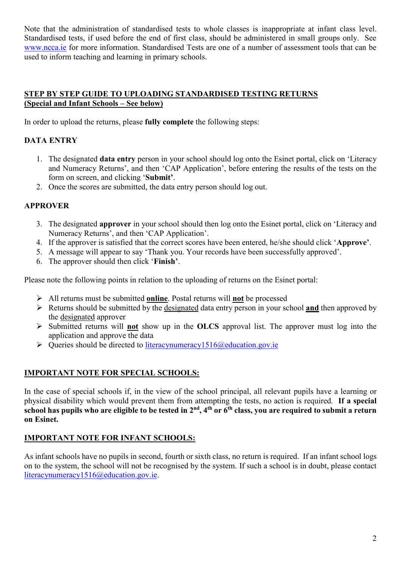Note that the administration of standardised tests to whole classes is inappropriate at infant class level. Standardised tests, if used before the end of first class, should be administered in small groups only. See [www.ncca.ie](http://www.ncca.ie/) for more information. Standardised Tests are one of a number of assessment tools that can be used to inform teaching and learning in primary schools.

### **STEP BY STEP GUIDE TO UPLOADING STANDARDISED TESTING RETURNS (Special and Infant Schools – See below)**

In order to upload the returns, please **fully complete** the following steps:

## **DATA ENTRY**

- 1. The designated **data entry** person in your school should log onto the Esinet portal, click on 'Literacy and Numeracy Returns', and then 'CAP Application', before entering the results of the tests on the form on screen, and clicking '**Submit'**.
- 2. Once the scores are submitted, the data entry person should log out.

# **APPROVER**

- 3. The designated **approver** in your school should then log onto the Esinet portal, click on 'Literacy and Numeracy Returns', and then 'CAP Application'.
- 4. If the approver is satisfied that the correct scores have been entered, he/she should click '**Approve'**.
- 5. A message will appear to say 'Thank you. Your records have been successfully approved'.
- 6. The approver should then click '**Finish'**.

Please note the following points in relation to the uploading of returns on the Esinet portal:

- All returns must be submitted **online**. Postal returns will **not** be processed
- Returns should be submitted by the designated data entry person in your school **and** then approved by the designated approver
- $\triangleright$  Submitted returns will **not** show up in the **OLCS** approval list. The approver must log into the application and approve the data
- $\triangleright$  Queries should be directed to [literacynumeracy1516@education.gov.ie](mailto:literacynumeracy1516@education.gov.ie)

## **IMPORTANT NOTE FOR SPECIAL SCHOOLS:**

In the case of special schools if, in the view of the school principal, all relevant pupils have a learning or physical disability which would prevent them from attempting the tests, no action is required. **If a special school has pupils who are eligible to be tested in 2nd, 4th or 6th class, you are required to submit a return on Esinet.**

## **IMPORTANT NOTE FOR INFANT SCHOOLS:**

As infant schools have no pupils in second, fourth or sixth class, no return is required. If an infant school logs on to the system, the school will not be recognised by the system. If such a school is in doubt, please contact [literacynumeracy1516@education.gov.ie.](mailto:literacynumeracy1516@education.gov.ie)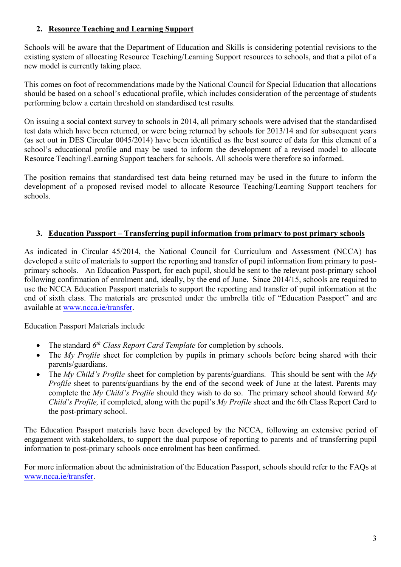## **2. Resource Teaching and Learning Support**

Schools will be aware that the Department of Education and Skills is considering potential revisions to the existing system of allocating Resource Teaching/Learning Support resources to schools, and that a pilot of a new model is currently taking place.

This comes on foot of recommendations made by the National Council for Special Education that allocations should be based on a school's educational profile, which includes consideration of the percentage of students performing below a certain threshold on standardised test results.

On issuing a social context survey to schools in 2014, all primary schools were advised that the standardised test data which have been returned, or were being returned by schools for 2013/14 and for subsequent years (as set out in DES Circular 0045/2014) have been identified as the best source of data for this element of a school's educational profile and may be used to inform the development of a revised model to allocate Resource Teaching/Learning Support teachers for schools. All schools were therefore so informed.

The position remains that standardised test data being returned may be used in the future to inform the development of a proposed revised model to allocate Resource Teaching/Learning Support teachers for schools.

## **3. Education Passport – Transferring pupil information from primary to post primary schools**

As indicated in Circular 45/2014, the National Council for Curriculum and Assessment (NCCA) has developed a suite of materials to support the reporting and transfer of pupil information from primary to postprimary schools. An Education Passport, for each pupil, should be sent to the relevant post-primary school following confirmation of enrolment and, ideally, by the end of June. Since 2014/15, schools are required to use the NCCA Education Passport materials to support the reporting and transfer of pupil information at the end of sixth class. The materials are presented under the umbrella title of "Education Passport" and are available at [www.ncca.ie/transfer.](http://www.ncca.ie/transfer)

Education Passport Materials include

- The standard  $6<sup>th</sup> Class Report Card Temple for completion by schools.$
- The *My Profile* sheet for completion by pupils in primary schools before being shared with their parents/guardians.
- The *My Child's Profile* sheet for completion by parents/guardians. This should be sent with the *My Profile* sheet to parents/guardians by the end of the second week of June at the latest. Parents may complete the *My Child's Profile* should they wish to do so. The primary school should forward *My Child's Profile,* if completed, along with the pupil's *My Profile* sheet and the 6th Class Report Card to the post-primary school.

The Education Passport materials have been developed by the NCCA, following an extensive period of engagement with stakeholders, to support the dual purpose of reporting to parents and of transferring pupil information to post-primary schools once enrolment has been confirmed.

For more information about the administration of the Education Passport, schools should refer to the FAQs at [www.ncca.ie/transfer.](http://www.ncca.ie/transfer)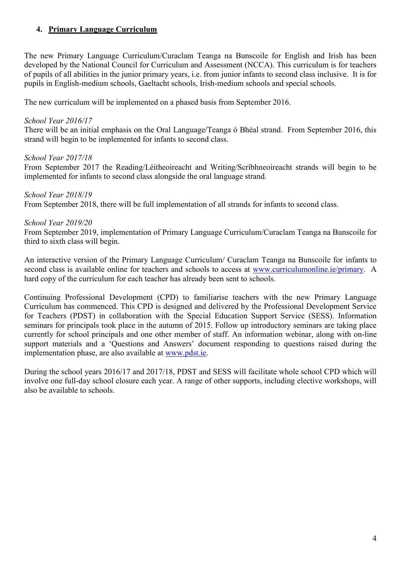### **4. Primary Language Curriculum**

The new Primary Language Curriculum/Curaclam Teanga na Bunscoile for English and Irish has been developed by the National Council for Curriculum and Assessment (NCCA). This curriculum is for teachers of pupils of all abilities in the junior primary years, i.e. from junior infants to second class inclusive. It is for pupils in English-medium schools, Gaeltacht schools, Irish-medium schools and special schools.

The new curriculum will be implemented on a phased basis from September 2016.

#### *School Year 2016/17*

There will be an initial emphasis on the Oral Language/Teanga ó Bhéal strand. From September 2016, this strand will begin to be implemented for infants to second class.

#### *School Year 2017/18*

From September 2017 the Reading/Léitheoireacht and Writing/Scríbhneoireacht strands will begin to be implemented for infants to second class alongside the oral language strand.

#### *School Year 2018/19*

From September 2018, there will be full implementation of all strands for infants to second class.

#### *School Year 2019/20*

From September 2019, implementation of Primary Language Curriculum/Curaclam Teanga na Bunscoile for third to sixth class will begin.

An interactive version of the Primary Language Curriculum/ Curaclam Teanga na Bunscoile for infants to second class is available online for teachers and schools to access at [www.curriculumonline.ie/primary.](http://www.curriculumonline.ie/primary) A hard copy of the curriculum for each teacher has already been sent to schools.

Continuing Professional Development (CPD) to familiarise teachers with the new Primary Language Curriculum has commenced. This CPD is designed and delivered by the Professional Development Service for Teachers (PDST) in collaboration with the Special Education Support Service (SESS). Information seminars for principals took place in the autumn of 2015. Follow up introductory seminars are taking place currently for school principals and one other member of staff. An information webinar, along with on-line support materials and a 'Questions and Answers' document responding to questions raised during the implementation phase, are also available at [www.pdst.ie.](http://www.pdst.ie/)

During the school years 2016/17 and 2017/18, PDST and SESS will facilitate whole school CPD which will involve one full-day school closure each year. A range of other supports, including elective workshops, will also be available to schools.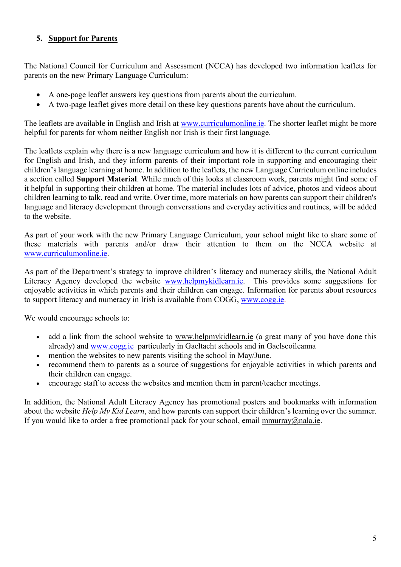## **5. Support for Parents**

The National Council for Curriculum and Assessment (NCCA) has developed two information leaflets for parents on the new Primary Language Curriculum:

- [A one-page leaflet](http://curriculumonline.ie/getmedia/96b88c3e-0047-40df-b02b-e64422051d32/Primary-Language-Curriculum_Parents_1-page.pdf) answers key questions from parents about the curriculum.
- [A two-page leaflet](http://curriculumonline.ie/getmedia/78ac7ab5-0efc-4efb-9bd7-77d25d45bf9f/Primary-Language-Curriculum_Parents_2-pages.pdf) gives more detail on these key questions parents have about the curriculum.

The leaflets are available in English and Irish at [www.curriculumonline.ie.](http://www.curriculumonline.ie/) The shorter leaflet might be more helpful for parents for whom neither English nor Irish is their first language.

The leaflets explain why there is a new language curriculum and how it is different to the current curriculum for English and Irish, and they inform parents of their important role in supporting and encouraging their children's language learning at home. In addition to the leaflets, the new Language Curriculum online includes a section called **Support Material**. While much of this looks at classroom work, parents might find some of it helpful in supporting their children at home. The material includes lots of advice, photos and videos about children learning to talk, read and write. Over time, more materials on how parents can support their children's language and literacy development through conversations and everyday activities and routines, will be added to the website.

As part of your work with the new Primary Language Curriculum, your school might like to share some of these materials with parents and/or draw their attention to them on the NCCA website at [www.curriculumonline.ie.](http://www.curriculumonline.ie/)

As part of the Department's strategy to improve children's literacy and numeracy skills, the National Adult Literacy Agency developed the website [www.helpmykidlearn.ie.](http://www.helpmykidlearn.ie/) This provides some suggestions for enjoyable activities in which parents and their children can engage. Information for parents about resources to support literacy and numeracy in Irish is available from COGG, [www.cogg.ie.](http://www.cogg.ie/)

We would encourage schools to:

- add a link from the school website to [www.helpmykidlearn.ie](http://www.helpmykidlearn.ie/) (a great many of you have done this already) and [www.cogg.ie](http://www.cogg.ie/) particularly in Gaeltacht schools and in Gaelscoileanna
- mention the websites to new parents visiting the school in May/June.
- recommend them to parents as a source of suggestions for enjoyable activities in which parents and their children can engage.
- encourage staff to access the websites and mention them in parent/teacher meetings.

In addition, the National Adult Literacy Agency has promotional posters and bookmarks with information about the website *Help My Kid Learn*, and how parents can support their children's learning over the summer. If you would like to order a free promotional pack for your school, email [mmurray@nala.ie.](mailto:mmurray@nala.ie)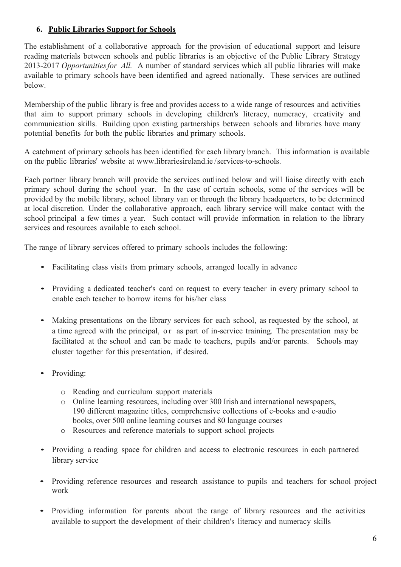### **6. Public Libraries Support for Schools**

The establishment of a collaborative approach for the provision of educational support and leisure reading materials between schools and public libraries is an objective of the Public Library Strategy 2013-2017 *Opportunitiesfor All.* A number of standard services which all public libraries will make available to primary schools have been identified and agreed nationally. These services are outlined below.

Membership of the public library is free and provides access to a wide range of resources and activities that aim to support primary schools in developing children's literacy, numeracy, creativity and communication skills. Building upon existing partnerships between schools and libraries have many potential benefits for both the public libraries and primary schools.

A catchment of primary schools has been identified for each library branch. This information is available on the public libraries' website at [www.librariesireland.ie](http://www.librariesireland.ie/) /services-to-schools.

Each partner library branch will provide the services outlined below and will liaise directly with each primary school during the school year. In the case of certain schools, some of the services will be provided by the mobile library, school library van or through the library headquarters, to be determined at local discretion. Under the collaborative approach, each library service will make contact with the school principal a few times a year. Such contact will provide information in relation to the library services and resources available to each school.

The range of library services offered to primary schools includes the following:

- Facilitating class visits from primary schools, arranged locally in advance
- Providing <sup>a</sup> dedicated teacher's card on request to every teacher in every primary school to enable each teacher to borrow items for his/her class
- Making presentations on the library services for each school, as requested by the school, at a time agreed with the principal, or as part of in-service training. The presentation may be facilitated at the school and can be made to teachers, pupils and/or parents. Schools may cluster together for this presentation, if desired.
- Providing:
	- o Reading and curriculum support materials
	- o Online learning resources, including over 300 Irish and international newspapers, 190 different magazine titles, comprehensive collections of e-books and e-audio books, over 500 online learning courses and 80 language courses
	- o Resources and reference materials to support school projects
- Providing a reading space for children and access to electronic resources in each partnered library service
- Providing reference resources and research assistance to pupils and teachers for school project work
- Providing information for parents about the range of library resources and the activities available to support the development of their children's literacy and numeracy skills